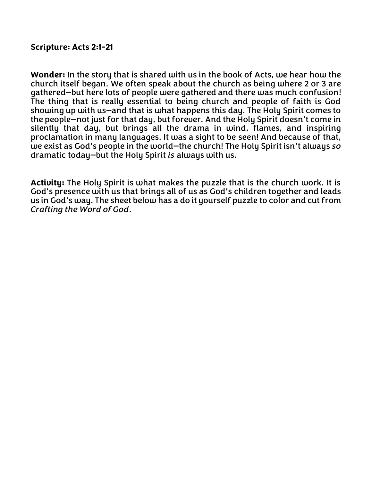## **Scripture: Acts 2:1-21**

**Wonder:** In the story that is shared with us in the book of Acts, we hear how the church itself began. We often speak about the church as being where 2 or 3 are gathered—but here lots of people were gathered and there was much confusion! The thing that is really essential to being church and people of faith is God showing up with us—and that is what happens this day. The Holy Spirit comes to the people—not just for that day, but forever. And the Holy Spirit doesn't come in silently that day, but brings all the drama in wind, flames, and inspiring proclamation in many languages. It was a sight to be seen! And because of that, we exist as God's people in the world—the church! The Holy Spirit isn't always *so* dramatic today—but the Holy Spirit *is* always with us.

**Activity:** The Holy Spirit is what makes the puzzle that is the church work. It is God's presence with us that brings all of us as God's children together and leads us in God's way. The sheet below has a do it yourself puzzle to color and cut from *Crafting the Word of God*.